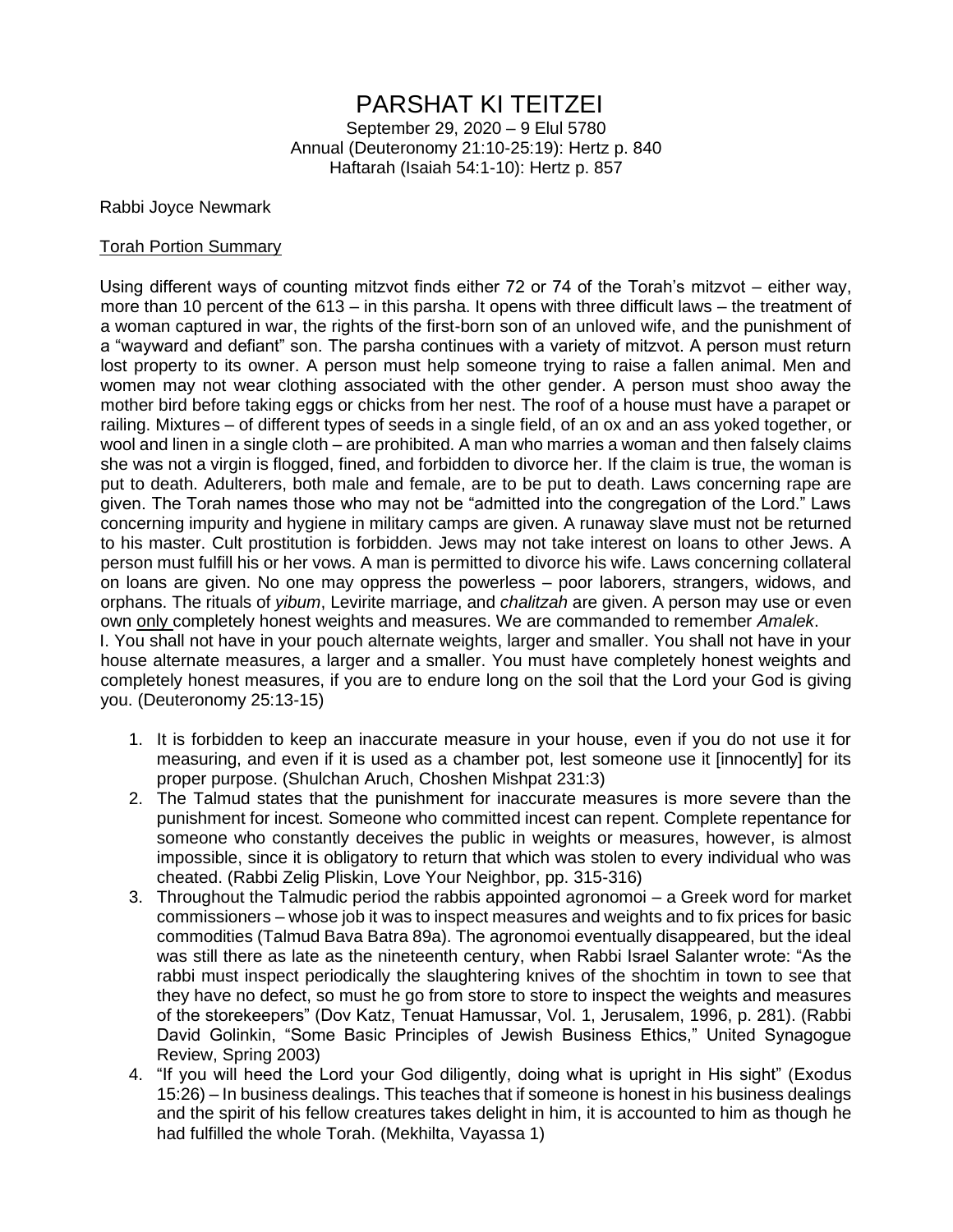# PARSHAT KI TEITZEI

September 29, 2020 – 9 Elul 5780 Annual (Deuteronomy 21:10-25:19): Hertz p. 840 Haftarah (Isaiah 54:1-10): Hertz p. 857

#### Rabbi Joyce Newmark

#### Torah Portion Summary

Using different ways of counting mitzvot finds either 72 or 74 of the Torah's mitzvot – either way, more than 10 percent of the 613 – in this parsha. It opens with three difficult laws – the treatment of a woman captured in war, the rights of the first-born son of an unloved wife, and the punishment of a "wayward and defiant" son. The parsha continues with a variety of mitzvot. A person must return lost property to its owner. A person must help someone trying to raise a fallen animal. Men and women may not wear clothing associated with the other gender. A person must shoo away the mother bird before taking eggs or chicks from her nest. The roof of a house must have a parapet or railing. Mixtures – of different types of seeds in a single field, of an ox and an ass yoked together, or wool and linen in a single cloth – are prohibited. A man who marries a woman and then falsely claims she was not a virgin is flogged, fined, and forbidden to divorce her. If the claim is true, the woman is put to death. Adulterers, both male and female, are to be put to death. Laws concerning rape are given. The Torah names those who may not be "admitted into the congregation of the Lord." Laws concerning impurity and hygiene in military camps are given. A runaway slave must not be returned to his master. Cult prostitution is forbidden. Jews may not take interest on loans to other Jews. A person must fulfill his or her vows. A man is permitted to divorce his wife. Laws concerning collateral on loans are given. No one may oppress the powerless – poor laborers, strangers, widows, and orphans. The rituals of *yibum*, Levirite marriage, and *chalitzah* are given. A person may use or even own only completely honest weights and measures. We are commanded to remember *Amalek*. I. You shall not have in your pouch alternate weights, larger and smaller. You shall not have in your house alternate measures, a larger and a smaller. You must have completely honest weights and

completely honest measures, if you are to endure long on the soil that the Lord your God is giving you. (Deuteronomy 25:13-15)

- 1. It is forbidden to keep an inaccurate measure in your house, even if you do not use it for measuring, and even if it is used as a chamber pot, lest someone use it [innocently] for its proper purpose. (Shulchan Aruch, Choshen Mishpat 231:3)
- 2. The Talmud states that the punishment for inaccurate measures is more severe than the punishment for incest. Someone who committed incest can repent. Complete repentance for someone who constantly deceives the public in weights or measures, however, is almost impossible, since it is obligatory to return that which was stolen to every individual who was cheated. (Rabbi Zelig Pliskin, Love Your Neighbor, pp. 315-316)
- 3. Throughout the Talmudic period the rabbis appointed agronomoi a Greek word for market commissioners – whose job it was to inspect measures and weights and to fix prices for basic commodities (Talmud Bava Batra 89a). The agronomoi eventually disappeared, but the ideal was still there as late as the nineteenth century, when Rabbi Israel Salanter wrote: "As the rabbi must inspect periodically the slaughtering knives of the shochtim in town to see that they have no defect, so must he go from store to store to inspect the weights and measures of the storekeepers" (Dov Katz, Tenuat Hamussar, Vol. 1, Jerusalem, 1996, p. 281). (Rabbi David Golinkin, "Some Basic Principles of Jewish Business Ethics," United Synagogue Review, Spring 2003)
- 4. "If you will heed the Lord your God diligently, doing what is upright in His sight" (Exodus 15:26) – In business dealings. This teaches that if someone is honest in his business dealings and the spirit of his fellow creatures takes delight in him, it is accounted to him as though he had fulfilled the whole Torah. (Mekhilta, Vayassa 1)